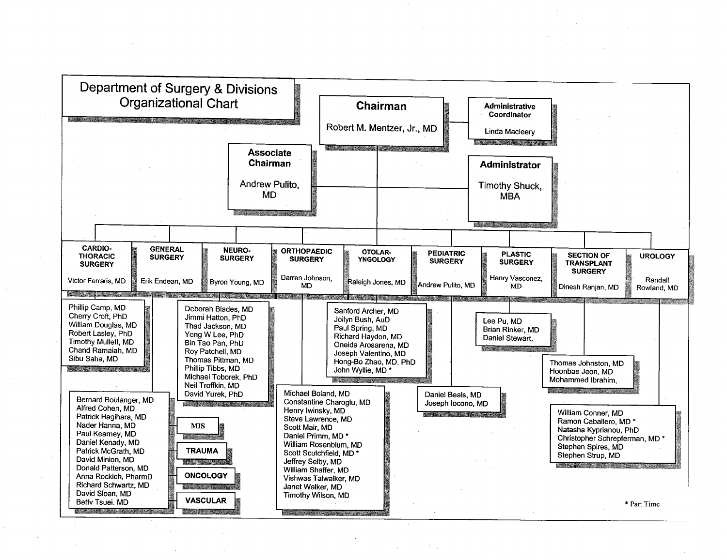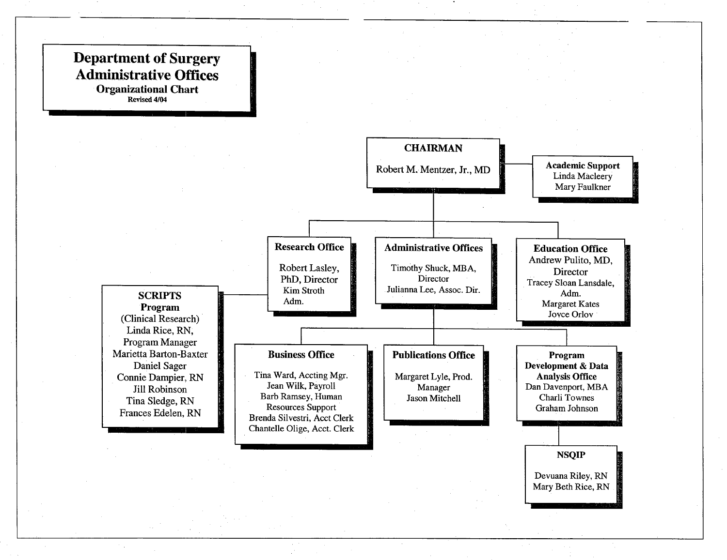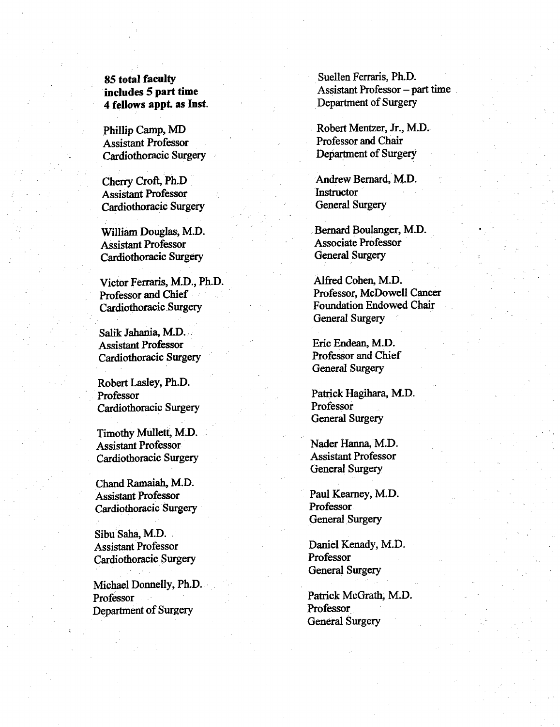## 85 total faculty includes 5 part time 4 fellows appt. as Inst.

Phillip Camp, MD Assistant Professor Cardiöthoracic Surgery

Cherry Croft, Ph.D Assistant Professor Cardiothoracic Surgery

William Douglas, M.D. Assistant Professor Cardiothoracic Surgery

Victor Ferraris, M.D., Ph.D. Professor and Chief Cardiothoracic Surgery

Salik Jahania, M.D. Assistant Professor Cardiothoracic Surgery

Robert Lasley, Ph.D. Professor Cardiothoracic Surgery

Timothy Mullett, M.D. Assistant Professor Cardiothoracic Surgery

Chand Ramaiah, M.D. Assistant Professor Cardiothoracic Surgery

Sibu Saha, M.D. Assistant Professor Cardiothoracic Surgery

Michael Donnelly, Ph.D. Professor Department of Surgery

Suellen Ferraris, Ph.D. Assistant Professor  $-$  part time Department of Surgery

Robert Mentzer, Jr., M.D. Professor and Chair Department of Surgery

Andrew Bernard, M.D. **Instructor** General Surgery

Bernard Boulanger, M.D. Associate Professor General Surgery

Alfred Cohen, M.D. Professor, McDowell Cancer Foundation Endowed Chair General Surgery

Eric Endean, M.D. Professor and Chief General Surgery

Patrick Hagihara, M.D. Professor General Surgery

Nader Hanna, M.D. Assistant Professor General Surgery

Paul Kearney, M.D. Professor General Surgery

Daniel Kenady, M.D. Professor General Surgery

Patrick McGrath, M.D. Professor General Surgery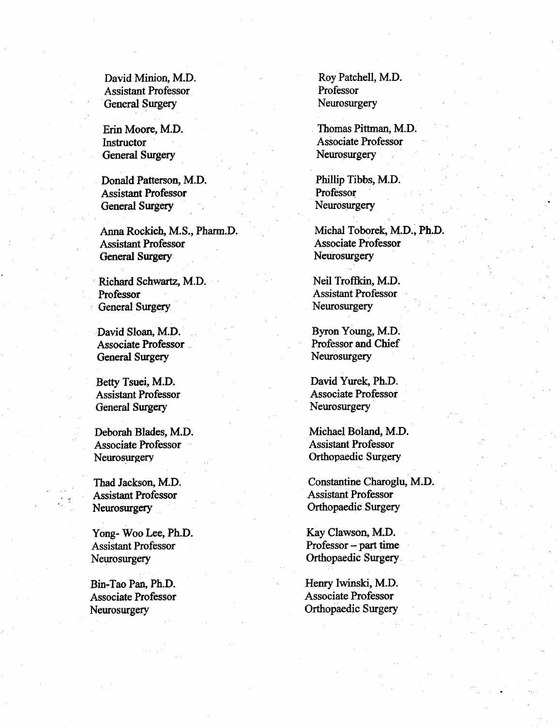Assistant Professor Professor General Surgery Neurosurgery Neurosurgery

General Surgery Neurosurgery Neurosurgery

Donald Patterson, M.D. Phillip Tibbs, M.D. Assistant Professor **Professor** General Surgery Neurosurgery Neurosurgery

Anna Rockich M.S. Pharm.D. Michal Toborek M.D. Ph.D. Assistant Professor Associate Professor General Surgery Neurosurgery Neurosurgery

Richard Schwartz, M.D. Neil Troffkin, M.D. Professor Assistant Professor General Surgery Neurosurgery Neurosurgery

David Sloan, M.D. Byron Young, M.D. General Surgery Neurosurgery Neurosurgery

Assistant Professor General Surgery Neurosurgery Neurosurgery

Associate Professor Assistant Professor Neurosurgery **Orthopaedic Surgery** 

Assistant Professor Assistant Professor Neurosurgery **Orthopaedic Surgery** 

Yong- Woo Lee, Ph.D. Kay Clawson, M.D. Assistant Professor **Professor Professor** Professor **Professor** Professor **Professor** Neurosurgery **Orthopaedic Surgery** 

David Minion, M.D. Roy Patchell, M.D.

Erin Moore, M.D. Thomas Pittman, M.D. Instructor Associate Professor

Associate Professor **Professor** Professor and Chief

Betty Tsuei, M.D.<br>
Assistant Professor<br>
Associate Professor<br>
Associate Professor

Deborah Blades, M.D. Michael Boland, M.D.

Thad Jackson, M.D. Constantine Charoglu, M.D.

Bin-Tao Pan, Ph.D. Henry Iwinski, M.D. Associate Professor Associate Professor Neurosurgery **Orthopaedic Surgery**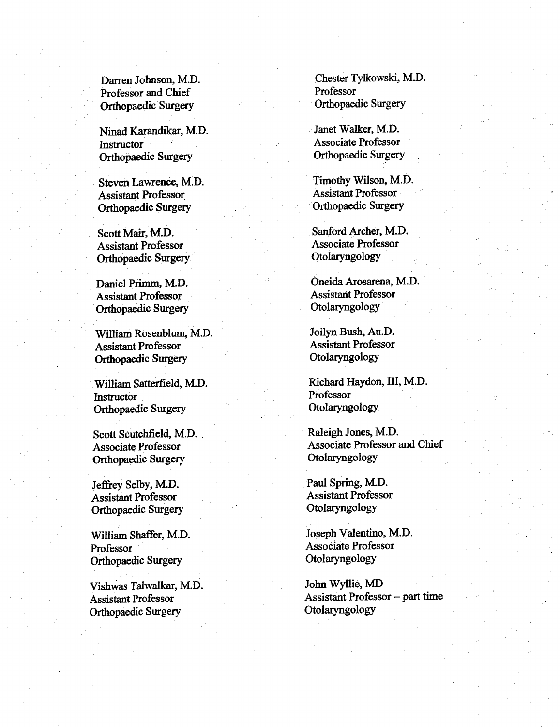Professor and Chief Professor Orthopaedic Surgery Orthopaedic Surgery

Ninad Karandikar, M.D. Janet Walker, M.D. Instructor Associate Professor Orthopaedic Surgery Orthopaedic Surgery

Assistant Professor Assistant Professor Orthopaedic Surgery Orthopaedic Surgery

Assistant Professor Associate Professor Orthopaedic Surgery Otolaryngology

Assistant Professor Assistant Professor Orthopaedic Surgery Colaryngology

William Rosenblum, M.D. Joilyn Bush, Au.D. Assistant Professor Assistant Professor Orthopaedic Surgery Otolaryngology

Instructor Professor Orthopaedic Surgery Collaryngology

Orthopaedic Surgery Otolaryngology

**Assistant Professor** Orthopaedic Surgery Colaryngology

Professor Associate Professor Orthopaedic Surgery Otolaryngology

Vishwas Talwalkar, M.D. John Wyllie, MD Orthopaedic Surgery Otolaryngology

Darren Johnson, M.D. Chester Tylkowski, M.D.

Steven Lawrence, M.D. Timothy Wilson, M.D.

Scott Mair, M.D. Sanford Archer, M.D.

Daniel Primm, M.D. Oneida Arosarena, M.D.

William Satterfield, M.D. Richard Haydon, III, M.D.

Scott Scutchfield, M.D. Raleigh Jones, M.D. Associate Professor Associate Professor and Chief

Jeffrey Selby, M.D.<br>Assistant Professor<br>Assistant Professor<br>Assistant Professor

William Shaffer, M.D. Joseph Valentino, M.D.

Assistant Professor Assistant Professor part time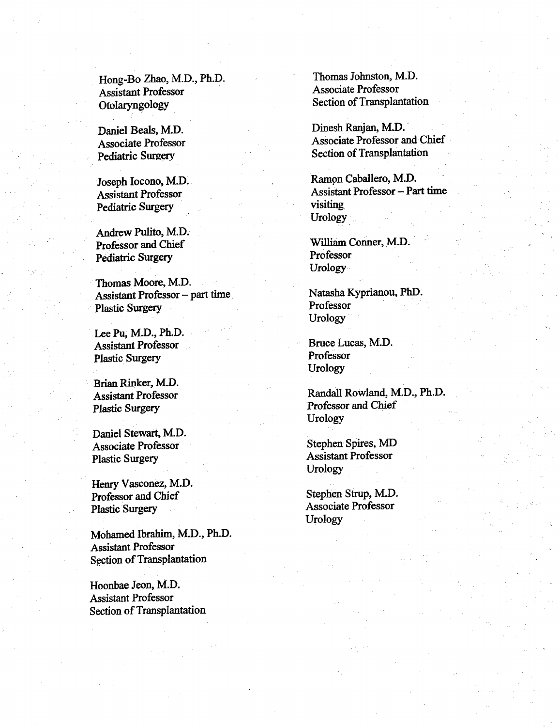Hong-Bo Zhao, M.D., Ph.D.<br>Associate Professor<br>Associate Professor **Assistant Professor** Otolaryngology Section of Transplantation

Pediatric Surgery visiting visiting

Andrew Pulito, M.D. Professor and Chief William Conner, M.D.<br>
Pediatric Surgery<br>
Professor Pediatric Surgery

Thomas Moore, M.D. Assistant Professor – part time<br>
Photos Professor<br>
Professor<br>
Professor Plastic Surgery

Lee Pu, M.D., Ph.D. Assistant Professor Bruce Lucas, M.D. Plastic Surgery Professor

Brian Rinker, M.D.

Daniel Stewart, M.D. Associate Professor Stephen Spires, MD Plastic Surgery Assistant Professor

Henry Vasconez, M.D. Professor and Chief Strup, M.D. Plastic Surgery Associate Professor

Mohamed Ibrahim, M.D., Ph.D. Assistant Professor Section of Transplantation

Hoonbae Jeon, M.D. Assistant Professor Section of Transplantation

Daniel Beals, M.D. Dinesh Ranjan, M.D. Associate Professor Associate Professor and Chief Pediatric Surgery<br> **Pediatric Surgery**<br>
Section of Transplantation

Joseph Iocono, M.D. Ramon Caballero, M.D. Assistant Professor Assistant Professor - Part time Urology

Urology

Urology

Urology

Assistant Professor Randall Rowland, M.D., Ph.D. Plastic Surgery Professor and Chief Urology

Urology

Urology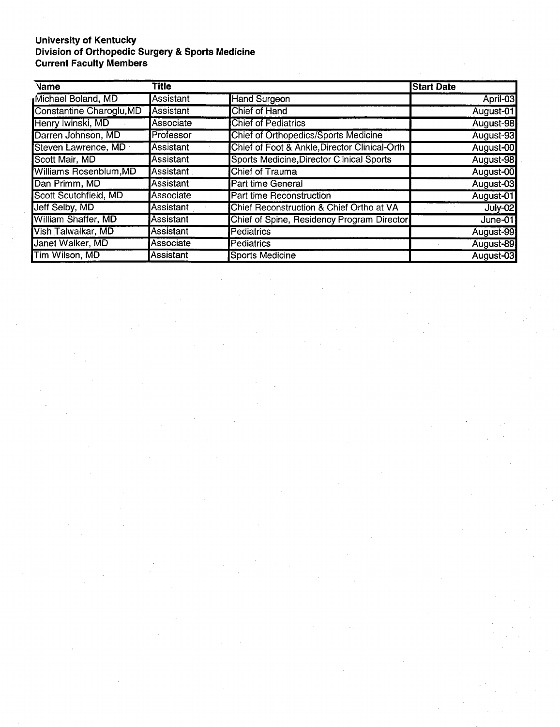## University of Kentucl Division of Orthopedic Surgery & Sports Medici **Current Faculty Members**

| Vame                       | Title            |                                               | <b>Start Date</b> |
|----------------------------|------------------|-----------------------------------------------|-------------------|
| Michael Boland, MD         | <b>Assistant</b> | <b>Hand Surgeon</b>                           | April-03          |
| Constantine Charoglu, MD   | Assistant        | Chief of Hand                                 | August-01         |
| Henry Iwinski, MD          | Associate        | <b>Chief of Pediatrics</b>                    | August-98         |
| Darren Johnson, MD         | Professor        | <b>Chief of Orthopedics/Sports Medicine</b>   | August-93         |
| Steven Lawrence, MD        | Assistant        | Chief of Foot & Ankle, Director Clinical-Orth | August-00         |
| Scott Mair, MD             | Assistant        | Sports Medicine, Director Clinical Sports     | August-98         |
| Williams Rosenblum, MD     | Assistant        | Chief of Trauma                               | August-00         |
| Dan Primm, MD              | <b>Assistant</b> | <b>Part time General</b>                      | August-03         |
| Scott Scutchfield, MD      | Associate        | Part time Reconstruction                      | August-01         |
| Jeff Selby, MD             | Assistant        | Chief Reconstruction & Chief Ortho at VA      | July-02           |
| <b>William Shaffer, MD</b> | Assistant        | Chief of Spine, Residency Program Director    | June- $01$        |
| Vish Talwalkar, MD         | lAssistant       | <b>Pediatrics</b>                             | August-99         |
| Janet Walker, MD           | Associate        | <b>Pediatrics</b>                             | August-89         |
| Tim Wilson, MD             | Assistant        | <b>Sports Medicine</b>                        | August-03         |

 $\bar{z}$